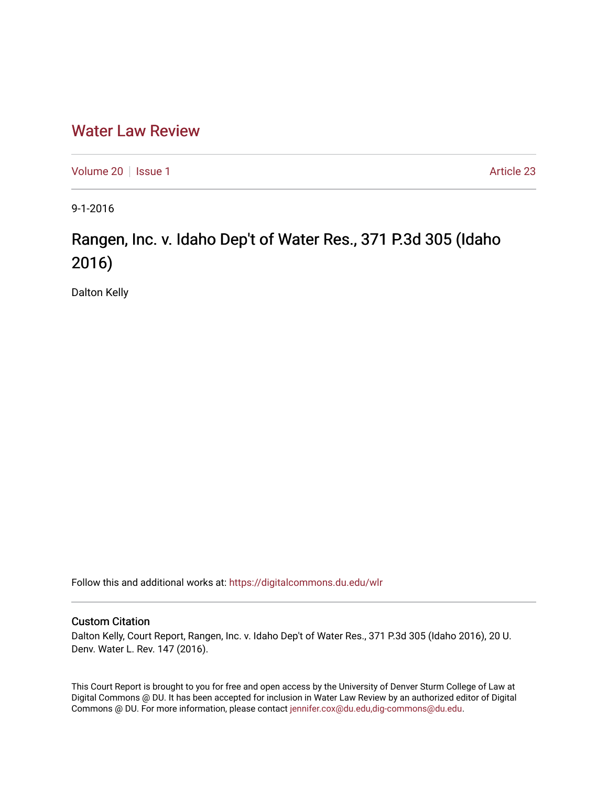# [Water Law Review](https://digitalcommons.du.edu/wlr)

[Volume 20](https://digitalcommons.du.edu/wlr/vol20) | [Issue 1](https://digitalcommons.du.edu/wlr/vol20/iss1) Article 23

9-1-2016

# Rangen, Inc. v. Idaho Dep't of Water Res., 371 P.3d 305 (Idaho 2016)

Dalton Kelly

Follow this and additional works at: [https://digitalcommons.du.edu/wlr](https://digitalcommons.du.edu/wlr?utm_source=digitalcommons.du.edu%2Fwlr%2Fvol20%2Fiss1%2F23&utm_medium=PDF&utm_campaign=PDFCoverPages) 

## Custom Citation

Dalton Kelly, Court Report, Rangen, Inc. v. Idaho Dep't of Water Res., 371 P.3d 305 (Idaho 2016), 20 U. Denv. Water L. Rev. 147 (2016).

This Court Report is brought to you for free and open access by the University of Denver Sturm College of Law at Digital Commons @ DU. It has been accepted for inclusion in Water Law Review by an authorized editor of Digital Commons @ DU. For more information, please contact [jennifer.cox@du.edu,dig-commons@du.edu.](mailto:jennifer.cox@du.edu,dig-commons@du.edu)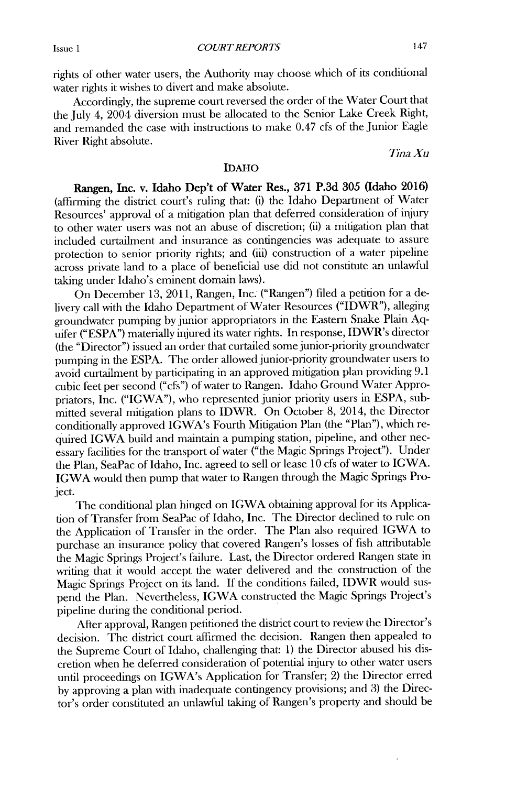rights of other water users, the Authority may choose which of its conditional water rights it wishes to divert and make absolute.

Accordingly, the supreme court reversed the order of the Water Court that the July 4, 2004 diversion must be allocated to the Senior Lake Creek Right, and remanded the case with instructions to make 0.47 cfs of the Junior Eagle River Right absolute.

*Wha Xu*

### IDAHO

Rangen, Inc. **v. Idaho Dep't of Water Res., 371 P.3d 305 (Idaho 2016)** (affirming the district court's ruling that: (i) the Idaho Department of Water Resources' approval of a mitigation plan that deferred consideration of injury to other water users was not an abuse of discretion; (ii) a mitigation plan that included curtailment and insurance as contingencies was adequate to assure protection to senior priority rights; and **(iii)** construction of a water pipeline across private land to a place of beneficial use **did** not constitute an unlawful taking under Idaho's eminent domain laws).

On December **13, 2011,** Rangen, Inc. ("Rangen") filed a petition for a delivery call with the Idaho Department of Water Resources ("IDWR"), alleging groundwater pumping **by** junior appropriators in the Eastern Snake Plain **Aq**uifer **("ESPA")** materially injured its water rights. In response, IDWR's director (the "Director") issued an order that curtailed some junior-priority groundwater pumping in the **ESPA.** The order allowed junior-priority groundwater users to avoid curtailment **by** participating in an approved mitigation plan providing **9.1** cubic feet per second ("cfs") of water to Rangen. Idaho Ground Water Appropriators, Inc. ("IGWA"), who represented junior priority users in **ESPA,** submitted several mitigation plans to IDWR. On October **8,** 2014, the Director conditionally approved IGWA's Fourth Mitigation Plan (the "Plan"), which required **IGWA** build and maintain a pumping station, pipeline, and other necessary facilities for the transport of water ("the Magic Springs Project"). Under the Plan, SeaPac of Idaho, Inc. agreed to sell or lease **10** cfs of water to **IGWA. IGWA** would then pump that water to Rangen through the Magic Springs Project.

The conditional plan hinged on IGWA obtaining approval for its Application of Transfer from SeaPac of Idaho, Inc. The Director declined to rule on the Application of Transfer in the order. The Plan also required IGWA to purchase an insurance policy that covered Rangen's losses of fish attributable the Magic Springs Project's failure. Last, the Director ordered Rangen state in **writing** that it would accept the water delivered and the construction of the Magic Springs Project on its land. **If** the conditions failed, IDWR would suspend the Plan. Nevertheless, IGWA constructed the Magic Springs Project's pipeline during the conditional period.

After approval, Rangen petitioned the district court to review the Director's decision. The district court affirmed the decision. Rangen then appealed to the Supreme Court of Idaho, challenging that: **1)** the Director abused his **dis**cretion when he deferred consideration of potential injury to other water users until proceedings on IGWA's Application for Transfer; 2) the Director erred **by** approving a plan with inadequate contingency provisions; and **3)** the Director's order constituted an unlawful taking of Rangen's property and should be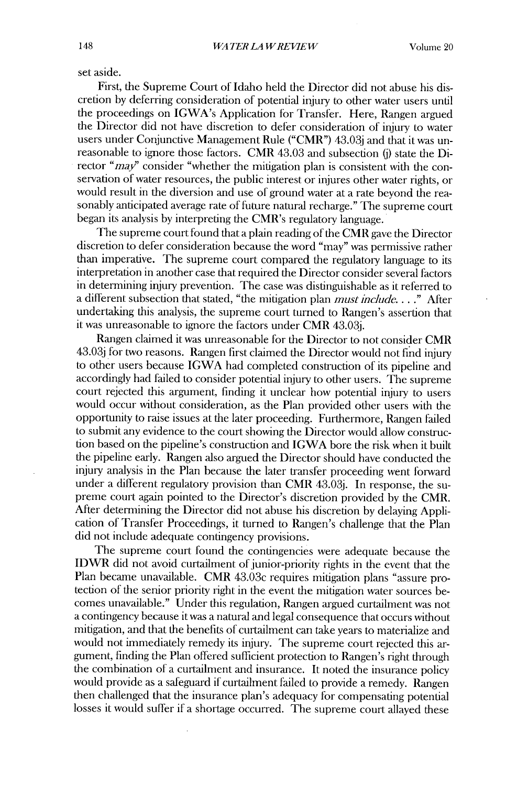set aside.

First, the Supreme Court of Idaho held the Director **did** not abuse his **dis**cretion **by** deferring consideration of potential injury to other water users until the proceedings on IGWA's Application for Transfer. Here, Rangen argued the Director **did** not have discretion to defer consideration of injury to water users under Conjunctive Management Rule ("CMR") 43.03j and that it was unreasonable to ignore those factors. CMR 43.03 and subsection **(j)** state the **Di**rector "*may*" consider "whether the mitigation plan is consistent with the conservation of water resources, the public interest or injures other water rights, or would result in the diversion and use of ground water at a rate beyond the reasonably anticipated average rate of future natural recharge." The supreme court began its analysis **by** interpreting the CMR's regulatory language.

The supreme court found that a plain reading of the CMR gave the Director discretion to defer consideration because the word "may" was permissive rather than imperative. The supreme court compared the regulatory language to its interpretation in another case that required the Director consider several factors in determining injury prevention. The case was distinguishable as it referred to a different subsection that stated, "the mitigation plan *must include.* **. . ."** After undertaking this analysis, the supreme court turned to Rangen's assertion that it was unreasonable to ignore the factors under CMR **43.03j.**

Rangen claimed it was unreasonable for the Director to not consider CMR **43.03j** for two reasons. Rangen first claimed the Director would not find injury to other users because IGWA had completed construction of its pipeline and accordingly had failed to consider potential injury to other users. The supreme court rejected this argument, finding it unclear how potential injury to users would occur without consideration, as the Plan provided other users with the opportunity to raise issues at the later proceeding. Furthermore, Rangen failed to submit any evidence to the court showing the Director would allow construction based on the pipeline's construction and IGWA bore the risk when it built the pipeline early. Rangen also argued the Director should have conducted the injury analysis in the Plan because the later transfer proceeding went forward under a different regulatory provision than CMR **43.03j.** In response, the supreme court again pointed to the Director's discretion provided **by** the CIVR. After determining the Director **did** not abuse his discretion **by** delaying **Appli**cation of Transfer Proceedings, it turned to Rangen's challenge that the Plan **did** not include adequate contingency provisions.

The supreme court found the contingencies were adequate because the **IDWR did** not avoid curtailment of junior-priority rights in the event that the Plan became unavailable. CMR 43.03c requires mitigation plans "assure protection of the senior priority right in the event the mitigation water sources becomes unavailable." Under this regulation, Rangen argued curtailment was not a contingency because it was a natural and legal consequence that occurs without mitigation, and that the benefits of curtailment can take years to materialize and would not immediately remedy its injury. The supreme court rejected this argument, finding the Plan offered sufficient protection to Rangen's right through the combination of a curtailment and insurance. It noted the insurance policy would provide as a safeguard **if** curtailment failed to provide a remedy. Rangen then challenged that the insurance plan's adequacy for compensating potential losses it would suffer **if** a shortage occurred. The supreme court allayed these